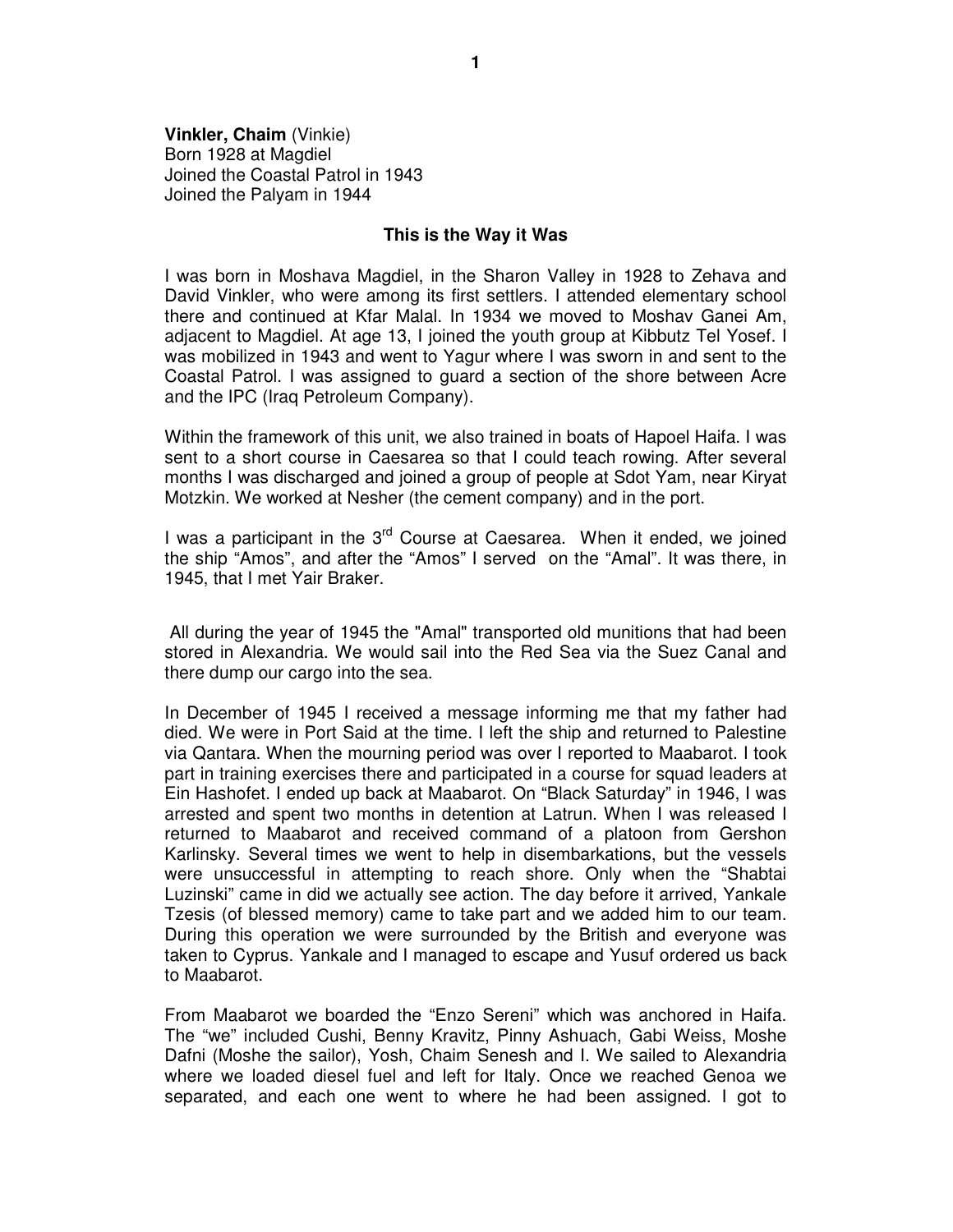**Vinkler, Chaim** (Vinkie) Born 1928 at Magdiel Joined the Coastal Patrol in 1943 Joined the Palyam in 1944

## **This is the Way it Was**

I was born in Moshava Magdiel, in the Sharon Valley in 1928 to Zehava and David Vinkler, who were among its first settlers. I attended elementary school there and continued at Kfar Malal. In 1934 we moved to Moshav Ganei Am, adjacent to Magdiel. At age 13, I joined the youth group at Kibbutz Tel Yosef. I was mobilized in 1943 and went to Yagur where I was sworn in and sent to the Coastal Patrol. I was assigned to guard a section of the shore between Acre and the IPC (Iraq Petroleum Company).

Within the framework of this unit, we also trained in boats of Hapoel Haifa. I was sent to a short course in Caesarea so that I could teach rowing. After several months I was discharged and joined a group of people at Sdot Yam, near Kiryat Motzkin. We worked at Nesher (the cement company) and in the port.

I was a participant in the  $3<sup>rd</sup>$  Course at Caesarea. When it ended, we joined the ship "Amos", and after the "Amos" I served on the "Amal". It was there, in 1945, that I met Yair Braker.

 All during the year of 1945 the "Amal" transported old munitions that had been stored in Alexandria. We would sail into the Red Sea via the Suez Canal and there dump our cargo into the sea.

In December of 1945 I received a message informing me that my father had died. We were in Port Said at the time. I left the ship and returned to Palestine via Qantara. When the mourning period was over I reported to Maabarot. I took part in training exercises there and participated in a course for squad leaders at Ein Hashofet. I ended up back at Maabarot. On "Black Saturday" in 1946, I was arrested and spent two months in detention at Latrun. When I was released I returned to Maabarot and received command of a platoon from Gershon Karlinsky. Several times we went to help in disembarkations, but the vessels were unsuccessful in attempting to reach shore. Only when the "Shabtai Luzinski" came in did we actually see action. The day before it arrived, Yankale Tzesis (of blessed memory) came to take part and we added him to our team. During this operation we were surrounded by the British and everyone was taken to Cyprus. Yankale and I managed to escape and Yusuf ordered us back to Maabarot.

From Maabarot we boarded the "Enzo Sereni" which was anchored in Haifa. The "we" included Cushi, Benny Kravitz, Pinny Ashuach, Gabi Weiss, Moshe Dafni (Moshe the sailor), Yosh, Chaim Senesh and I. We sailed to Alexandria where we loaded diesel fuel and left for Italy. Once we reached Genoa we separated, and each one went to where he had been assigned. I got to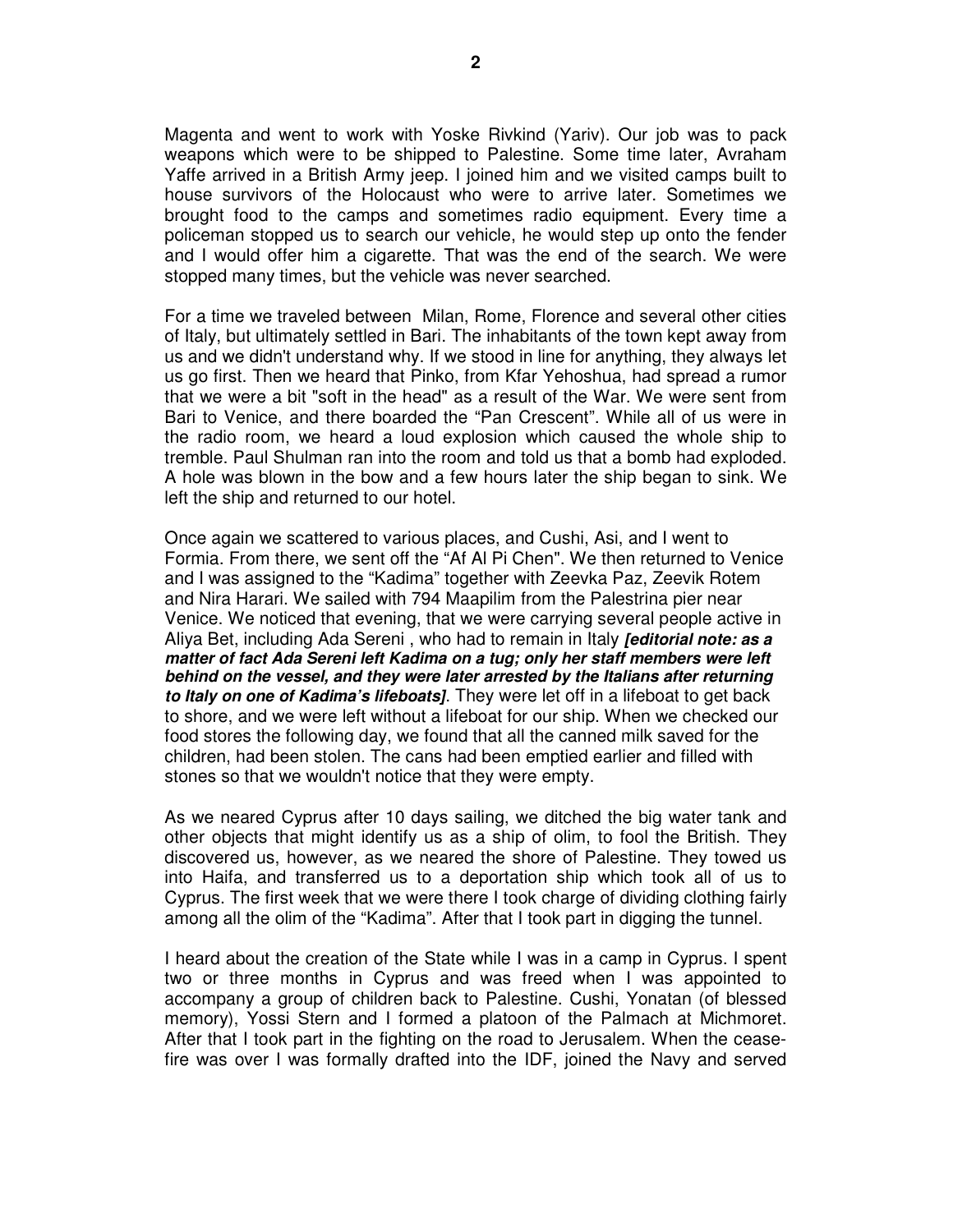Magenta and went to work with Yoske Rivkind (Yariv). Our job was to pack weapons which were to be shipped to Palestine. Some time later, Avraham Yaffe arrived in a British Army jeep. I joined him and we visited camps built to house survivors of the Holocaust who were to arrive later. Sometimes we brought food to the camps and sometimes radio equipment. Every time a policeman stopped us to search our vehicle, he would step up onto the fender and I would offer him a cigarette. That was the end of the search. We were stopped many times, but the vehicle was never searched.

For a time we traveled between Milan, Rome, Florence and several other cities of Italy, but ultimately settled in Bari. The inhabitants of the town kept away from us and we didn't understand why. If we stood in line for anything, they always let us go first. Then we heard that Pinko, from Kfar Yehoshua, had spread a rumor that we were a bit "soft in the head" as a result of the War. We were sent from Bari to Venice, and there boarded the "Pan Crescent". While all of us were in the radio room, we heard a loud explosion which caused the whole ship to tremble. Paul Shulman ran into the room and told us that a bomb had exploded. A hole was blown in the bow and a few hours later the ship began to sink. We left the ship and returned to our hotel.

Once again we scattered to various places, and Cushi, Asi, and I went to Formia. From there, we sent off the "Af Al Pi Chen". We then returned to Venice and I was assigned to the "Kadima" together with Zeevka Paz, Zeevik Rotem and Nira Harari. We sailed with 794 Maapilim from the Palestrina pier near Venice. We noticed that evening, that we were carrying several people active in Aliya Bet, including Ada Sereni , who had to remain in Italy **[editorial note: as a matter of fact Ada Sereni left Kadima on a tug; only her staff members were left behind on the vessel, and they were later arrested by the Italians after returning to Italy on one of Kadima's lifeboats]**. They were let off in a lifeboat to get back to shore, and we were left without a lifeboat for our ship. When we checked our food stores the following day, we found that all the canned milk saved for the children, had been stolen. The cans had been emptied earlier and filled with stones so that we wouldn't notice that they were empty.

As we neared Cyprus after 10 days sailing, we ditched the big water tank and other objects that might identify us as a ship of olim, to fool the British. They discovered us, however, as we neared the shore of Palestine. They towed us into Haifa, and transferred us to a deportation ship which took all of us to Cyprus. The first week that we were there I took charge of dividing clothing fairly among all the olim of the "Kadima". After that I took part in digging the tunnel.

I heard about the creation of the State while I was in a camp in Cyprus. I spent two or three months in Cyprus and was freed when I was appointed to accompany a group of children back to Palestine. Cushi, Yonatan (of blessed memory), Yossi Stern and I formed a platoon of the Palmach at Michmoret. After that I took part in the fighting on the road to Jerusalem. When the ceasefire was over I was formally drafted into the IDF, joined the Navy and served